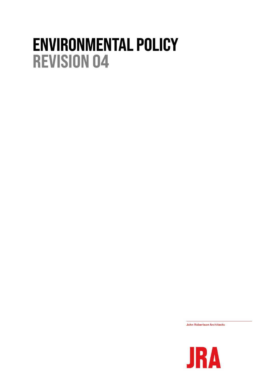## **ENVIRONMENTAL POLICY REVISION 04**

**John Robertson Architects** 

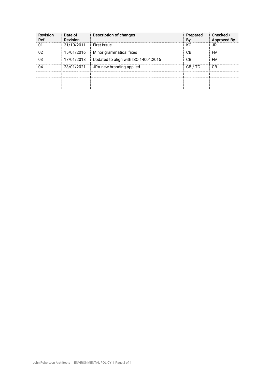| <b>Revision</b><br>Ref. | Date of<br><b>Revision</b> | Description of changes               | Prepared<br>By | Checked /<br><b>Approved By</b> |
|-------------------------|----------------------------|--------------------------------------|----------------|---------------------------------|
| 01                      | 31/10/2011                 | <b>First Issue</b>                   | КC             | JR                              |
| በ2                      | 15/01/2016                 | Minor grammatical fixes              | CB             | FM                              |
| 03                      | 17/01/2018                 | Updated to align with ISO 14001:2015 | СB             | FM                              |
| 114                     | 23/01/2021                 | JRA new branding applied             | CB/TC          | CB                              |
|                         |                            |                                      |                |                                 |
|                         |                            |                                      |                |                                 |
|                         |                            |                                      |                |                                 |
|                         |                            |                                      |                |                                 |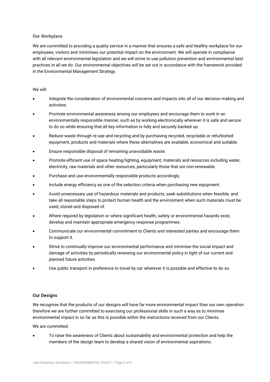## Our Workplace

We are committed to providing a quality service in a manner that ensures a safe and healthy workplace for our employees, visitors and minimises our potential impact on the environment. We will operate in compliance with all relevant environmental legislation and we will strive to use pollution prevention and environmental best practices in all we do. Our environmental objectives will be set out in accordance with the framework provided in the Environmental Management Strategy.

## We will:

- Integrate the consideration of environmental concerns and impacts into all of our decision making and activities.
- Promote environmental awareness among our employees and encourage them to work in an environmentally responsible manner, such as by working electronically wherever it is safe and secure to do so while ensuring that all key information is fully and securely backed up.
- Reduce waste through re-use and recycling and by purchasing recycled, recyclable or refurbished equipment, products and materials where these alternatives are available, economical and suitable.
- Ensure responsible disposal of remaining unavoidable waste.
- Promote efficient use of space heating/lighting, equipment, materials and resources including water, electricity, raw materials and other resources, particularly those that are non-renewable.
- Purchase and use environmentally responsible products accordingly.
- Include energy efficiency as one of the selection criteria when purchasing new equipment.
- Avoid unnecessary use of hazardous materials and products, seek substitutions when feasible, and take all reasonable steps to protect human health and the environment when such materials must be used, stored and disposed of.
- Where required by legislation or where significant health, safety or environmental hazards exist, develop and maintain appropriate emergency response programmes.
- Communicate our environmental commitment to Clients and interested parties and encourage them to support it.
- Strive to continually improve our environmental performance and minimise the social impact and damage of activities by periodically reviewing our environmental policy in light of our current and planned future activities.
- Use public transport in preference to travel by car wherever it is possible and effective to do so.

## Our Designs

We recognise that the products of our designs will have far more environmental impact than our own operation therefore we are further committed to exercising our professional skills in such a way as to minimise environmental impact in so far as this is possible within the instructions received from our Clients.

We are committed:

• To raise the awareness of Clients about sustainability and environmental protection and help the members of the design team to develop a shared vision of environmental aspirations.